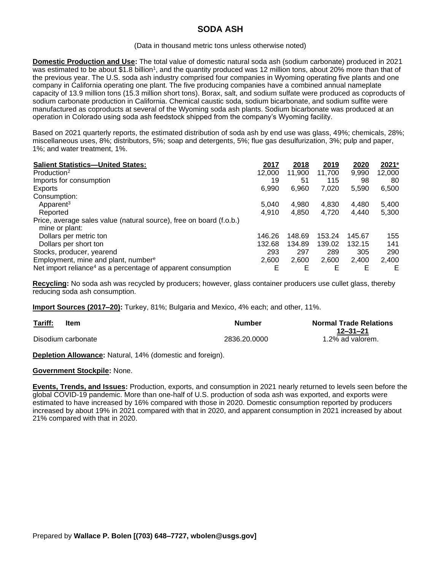## **SODA ASH**

## (Data in thousand metric tons unless otherwise noted)

**Domestic Production and Use:** The total value of domestic natural soda ash (sodium carbonate) produced in 2021 was estimated to be about \$1.8 billion<sup>1</sup>, and the quantity produced was 12 million tons, about 20% more than that of the previous year. The U.S. soda ash industry comprised four companies in Wyoming operating five plants and one company in California operating one plant. The five producing companies have a combined annual nameplate capacity of 13.9 million tons (15.3 million short tons). Borax, salt, and sodium sulfate were produced as coproducts of sodium carbonate production in California. Chemical caustic soda, sodium bicarbonate, and sodium sulfite were manufactured as coproducts at several of the Wyoming soda ash plants. Sodium bicarbonate was produced at an operation in Colorado using soda ash feedstock shipped from the company's Wyoming facility.

Based on 2021 quarterly reports, the estimated distribution of soda ash by end use was glass, 49%; chemicals, 28%; miscellaneous uses, 8%; distributors, 5%; soap and detergents, 5%; flue gas desulfurization, 3%; pulp and paper, 1%; and water treatment, 1%.

| <b>Salient Statistics-United States:</b>                                              | 2017   | 2018   | 2019   | 2020   | 2021 <sup>e</sup> |
|---------------------------------------------------------------------------------------|--------|--------|--------|--------|-------------------|
| Production <sup>2</sup>                                                               | 12.000 | 11,900 | 11,700 | 9,990  | 12,000            |
| Imports for consumption                                                               | 19     | 51     | 115    | 98     | 80                |
| Exports                                                                               | 6,990  | 6,960  | 7,020  | 5,590  | 6,500             |
| Consumption:                                                                          |        |        |        |        |                   |
| Apparent <sup>3</sup>                                                                 | 5,040  | 4,980  | 4,830  | 4,480  | 5,400             |
| Reported                                                                              | 4.910  | 4,850  | 4,720  | 4,440  | 5,300             |
| Price, average sales value (natural source), free on board (f.o.b.)<br>mine or plant: |        |        |        |        |                   |
| Dollars per metric ton                                                                | 146.26 | 148.69 | 153.24 | 145.67 | 155               |
| Dollars per short ton                                                                 | 132.68 | 134.89 | 139.02 | 132.15 | 141               |
| Stocks, producer, yearend                                                             | 293    | 297    | 289    | 305    | 290               |
| Employment, mine and plant, number <sup>e</sup>                                       | 2.600  | 2,600  | 2,600  | 2,400  | 2,400             |
| Net import reliance <sup>4</sup> as a percentage of apparent consumption              | Е      | Е      | Е      | Е      | Е                 |

**Recycling:** No soda ash was recycled by producers; however, glass container producers use cullet glass, thereby reducing soda ash consumption.

**Import Sources (2017–20):** Turkey, 81%; Bulgaria and Mexico, 4% each; and other, 11%.

| Tariff:<br>ltem    | Number       | <b>Normal Trade Relations</b> |
|--------------------|--------------|-------------------------------|
|                    |              | 12–31–21                      |
| Disodium carbonate | 2836.20.0000 | 1.2% ad valorem.              |

**Depletion Allowance:** Natural, 14% (domestic and foreign).

## **Government Stockpile:** None.

**Events, Trends, and Issues:** Production, exports, and consumption in 2021 nearly returned to levels seen before the global COVID-19 pandemic. More than one-half of U.S. production of soda ash was exported, and exports were estimated to have increased by 16% compared with those in 2020. Domestic consumption reported by producers increased by about 19% in 2021 compared with that in 2020, and apparent consumption in 2021 increased by about 21% compared with that in 2020.